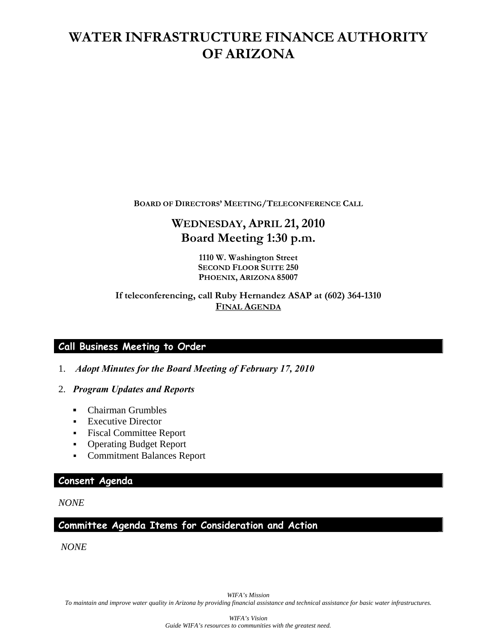# **WATER INFRASTRUCTURE FINANCE AUTHORITY OF ARIZONA**

**BOARD OF DIRECTORS' MEETING/TELECONFERENCE CALL**

# **WEDNESDAY, APRIL 21, 2010 Board Meeting 1:30 p.m.**

**1110 W. Washington Street SECOND FLOOR SUITE 250 PHOENIX, ARIZONA 85007** 

#### **If teleconferencing, call Ruby Hernandez ASAP at (602) 364-1310 FINAL AGENDA**

# **Call Business Meeting to Order**

- 1. *Adopt Minutes for the Board Meeting of February 17, 2010*
- 2. *Program Updates and Reports* 
	- *▪* Chairman Grumbles
	- **Executive Director**
	- Fiscal Committee Report
	- Operating Budget Report
	- Commitment Balances Report

### **Consent Agenda**

*NONE* 

## **Committee Agenda Items for Consideration and Action**

*NONE*